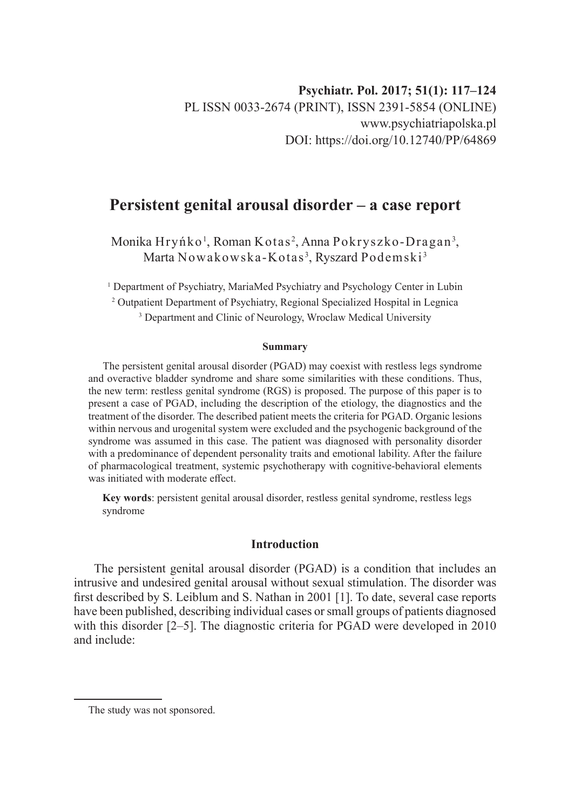# **Persistent genital arousal disorder – a case report**

Monika Hryńko<sup>1</sup>, Roman Kotas<sup>2</sup>, Anna Pokryszko-Dragan<sup>3</sup>, Marta Nowakowska-Kotas<sup>3</sup>, Ryszard Podemski<sup>3</sup>

<sup>1</sup> Department of Psychiatry, MariaMed Psychiatry and Psychology Center in Lubin

2 Outpatient Department of Psychiatry, Regional Specialized Hospital in Legnica

<sup>3</sup> Department and Clinic of Neurology, Wroclaw Medical University

#### **Summary**

The persistent genital arousal disorder (PGAD) may coexist with restless legs syndrome and overactive bladder syndrome and share some similarities with these conditions. Thus, the new term: restless genital syndrome (RGS) is proposed. The purpose of this paper is to present a case of PGAD, including the description of the etiology, the diagnostics and the treatment of the disorder. The described patient meets the criteria for PGAD. Organic lesions within nervous and urogenital system were excluded and the psychogenic background of the syndrome was assumed in this case. The patient was diagnosed with personality disorder with a predominance of dependent personality traits and emotional lability. After the failure of pharmacological treatment, systemic psychotherapy with cognitive-behavioral elements was initiated with moderate effect.

**Key words**: persistent genital arousal disorder, restless genital syndrome, restless legs syndrome

# **Introduction**

The persistent genital arousal disorder (PGAD) is a condition that includes an intrusive and undesired genital arousal without sexual stimulation. The disorder was first described by S. Leiblum and S. Nathan in 2001 [1]. To date, several case reports have been published, describing individual cases or small groups of patients diagnosed with this disorder [2–5]. The diagnostic criteria for PGAD were developed in 2010 and include:

The study was not sponsored.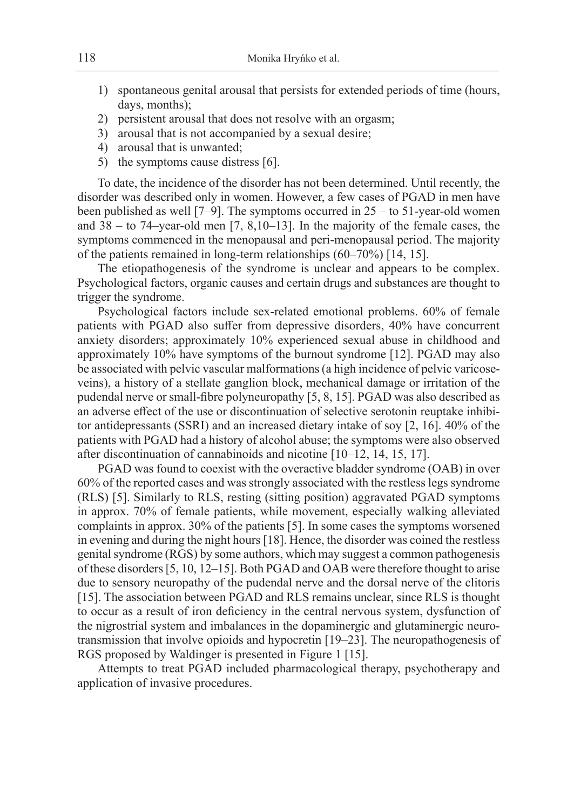- 1) spontaneous genital arousal that persists for extended periods of time (hours, days, months);
- 2) persistent arousal that does not resolve with an orgasm;
- 3) arousal that is not accompanied by a sexual desire;
- 4) arousal that is unwanted;
- 5) the symptoms cause distress [6].

To date, the incidence of the disorder has not been determined. Until recently, the disorder was described only in women. However, a few cases of PGAD in men have been published as well [7–9]. The symptoms occurred in 25 – to 51-year-old women and 38 – to 74–year-old men [7, 8,10–13]. In the majority of the female cases, the symptoms commenced in the menopausal and peri-menopausal period. The majority of the patients remained in long-term relationships (60–70%) [14, 15].

The etiopathogenesis of the syndrome is unclear and appears to be complex. Psychological factors, organic causes and certain drugs and substances are thought to trigger the syndrome.

Psychological factors include sex-related emotional problems. 60% of female patients with PGAD also suffer from depressive disorders, 40% have concurrent anxiety disorders; approximately 10% experienced sexual abuse in childhood and approximately 10% have symptoms of the burnout syndrome [12]. PGAD may also be associated with pelvic vascular malformations (a high incidence of pelvic varicoseveins), a history of a stellate ganglion block, mechanical damage or irritation of the pudendal nerve or small-fibre polyneuropathy [5, 8, 15]. PGAD was also described as an adverse effect of the use or discontinuation of selective serotonin reuptake inhibitor antidepressants (SSRI) and an increased dietary intake of soy [2, 16]. 40% of the patients with PGAD had a history of alcohol abuse; the symptoms were also observed after discontinuation of cannabinoids and nicotine [10–12, 14, 15, 17].

PGAD was found to coexist with the overactive bladder syndrome (OAB) in over 60% of the reported cases and was strongly associated with the restless legs syndrome (RLS) [5]. Similarly to RLS, resting (sitting position) aggravated PGAD symptoms in approx. 70% of female patients, while movement, especially walking alleviated complaints in approx. 30% of the patients [5]. In some cases the symptoms worsened in evening and during the night hours [18]. Hence, the disorder was coined the restless genital syndrome (RGS) by some authors, which may suggest a common pathogenesis of these disorders [5, 10, 12–15]. Both PGAD and OAB were therefore thought to arise due to sensory neuropathy of the pudendal nerve and the dorsal nerve of the clitoris [15]. The association between PGAD and RLS remains unclear, since RLS is thought to occur as a result of iron deficiency in the central nervous system, dysfunction of the nigrostrial system and imbalances in the dopaminergic and glutaminergic neurotransmission that involve opioids and hypocretin [19–23]. The neuropathogenesis of RGS proposed by Waldinger is presented in Figure 1 [15].

Attempts to treat PGAD included pharmacological therapy, psychotherapy and application of invasive procedures.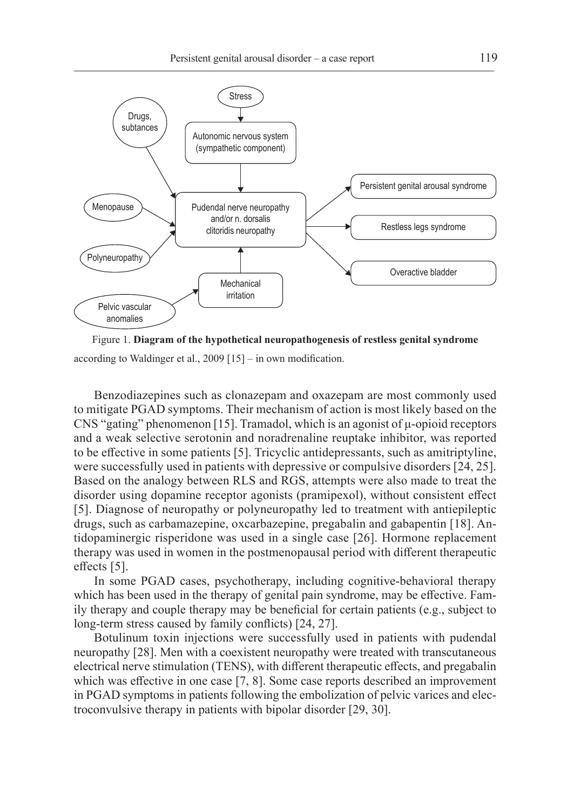

Figure 1. **Diagram of the hypothetical neuropathogenesis of restless genital syndrome**

according to Waldinger et al., 2009 [15] – in own modification.

Benzodiazepines such as clonazepam and oxazepam are most commonly used to mitigate PGAD symptoms. Their mechanism of action is most likely based on the CNS "gating" phenomenon [15]. Tramadol, which is an agonist of  $\mu$ -opioid receptors and a weak selective serotonin and noradrenaline reuptake inhibitor, was reported to be effective in some patients [5]. Tricyclic antidepressants, such as amitriptyline, were successfully used in patients with depressive or compulsive disorders [24, 25]. Based on the analogy between RLS and RGS, attempts were also made to treat the disorder using dopamine receptor agonists (pramipexol), without consistent effect [5]. Diagnose of neuropathy or polyneuropathy led to treatment with antiepileptic drugs, such as carbamazepine, oxcarbazepine, pregabalin and gabapentin [18]. Antidopaminergic risperidone was used in a single case [26]. Hormone replacement therapy was used in women in the postmenopausal period with different therapeutic effects [5].

In some PGAD cases, psychotherapy, including cognitive-behavioral therapy which has been used in the therapy of genital pain syndrome, may be effective. Family therapy and couple therapy may be beneficial for certain patients (e.g., subject to long-term stress caused by family conflicts) [24, 27].

Botulinum toxin injections were successfully used in patients with pudendal neuropathy [28]. Men with a coexistent neuropathy were treated with transcutaneous electrical nerve stimulation (TENS), with different therapeutic effects, and pregabalin which was effective in one case [7, 8]. Some case reports described an improvement in PGAD symptoms in patients following the embolization of pelvic varices and electroconvulsive therapy in patients with bipolar disorder [29, 30].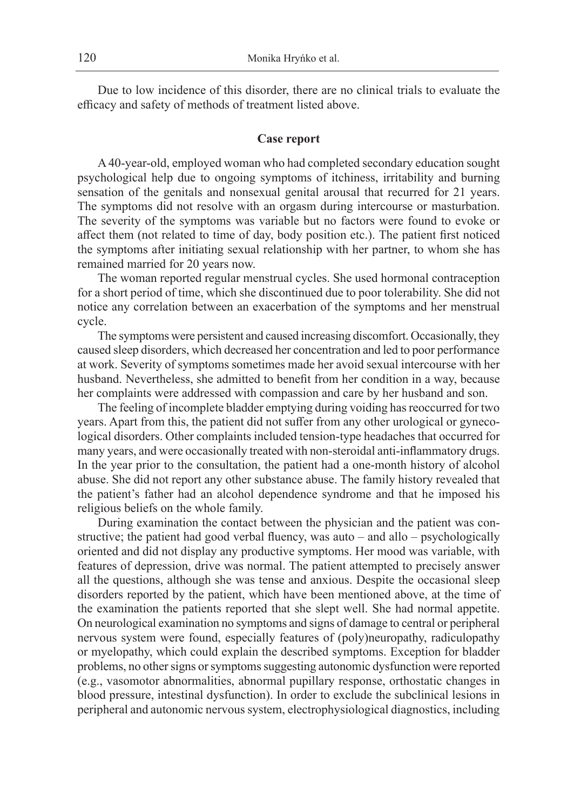Due to low incidence of this disorder, there are no clinical trials to evaluate the efficacy and safety of methods of treatment listed above.

#### **Case report**

A 40-year-old, employed woman who had completed secondary education sought psychological help due to ongoing symptoms of itchiness, irritability and burning sensation of the genitals and nonsexual genital arousal that recurred for 21 years. The symptoms did not resolve with an orgasm during intercourse or masturbation. The severity of the symptoms was variable but no factors were found to evoke or affect them (not related to time of day, body position etc.). The patient first noticed the symptoms after initiating sexual relationship with her partner, to whom she has remained married for 20 years now.

The woman reported regular menstrual cycles. She used hormonal contraception for a short period of time, which she discontinued due to poor tolerability. She did not notice any correlation between an exacerbation of the symptoms and her menstrual cycle.

The symptoms were persistent and caused increasing discomfort. Occasionally, they caused sleep disorders, which decreased her concentration and led to poor performance at work. Severity of symptoms sometimes made her avoid sexual intercourse with her husband. Nevertheless, she admitted to benefit from her condition in a way, because her complaints were addressed with compassion and care by her husband and son.

The feeling of incomplete bladder emptying during voiding has reoccurred for two years. Apart from this, the patient did not suffer from any other urological or gynecological disorders. Other complaints included tension-type headaches that occurred for many years, and were occasionally treated with non-steroidal anti-inflammatory drugs. In the year prior to the consultation, the patient had a one-month history of alcohol abuse. She did not report any other substance abuse. The family history revealed that the patient's father had an alcohol dependence syndrome and that he imposed his religious beliefs on the whole family.

During examination the contact between the physician and the patient was constructive; the patient had good verbal fluency, was auto – and allo – psychologically oriented and did not display any productive symptoms. Her mood was variable, with features of depression, drive was normal. The patient attempted to precisely answer all the questions, although she was tense and anxious. Despite the occasional sleep disorders reported by the patient, which have been mentioned above, at the time of the examination the patients reported that she slept well. She had normal appetite. On neurological examination no symptoms and signs of damage to central or peripheral nervous system were found, especially features of (poly)neuropathy, radiculopathy or myelopathy, which could explain the described symptoms. Exception for bladder problems, no other signs or symptoms suggesting autonomic dysfunction were reported (e.g., vasomotor abnormalities, abnormal pupillary response, orthostatic changes in blood pressure, intestinal dysfunction). In order to exclude the subclinical lesions in peripheral and autonomic nervous system, electrophysiological diagnostics, including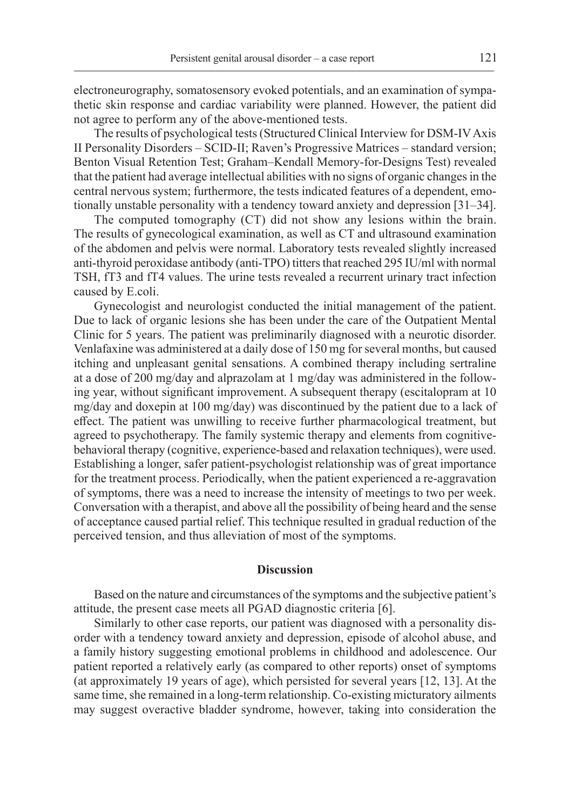electroneurography, somatosensory evoked potentials, and an examination of sympathetic skin response and cardiac variability were planned. However, the patient did not agree to perform any of the above-mentioned tests.

The results of psychological tests (Structured Clinical Interview for DSM-IV Axis II Personality Disorders – SCID-II; Raven's Progressive Matrices – standard version; Benton Visual Retention Test; Graham–Kendall Memory-for-Designs Test) revealed that the patient had average intellectual abilities with no signs of organic changes in the central nervous system; furthermore, the tests indicated features of a dependent, emotionally unstable personality with a tendency toward anxiety and depression [31–34].

The computed tomography (CT) did not show any lesions within the brain. The results of gynecological examination, as well as CT and ultrasound examination of the abdomen and pelvis were normal. Laboratory tests revealed slightly increased anti-thyroid peroxidase antibody (anti-TPO) titters that reached 295 IU/ml with normal TSH, fT3 and fT4 values. The urine tests revealed a recurrent urinary tract infection caused by E.coli.

Gynecologist and neurologist conducted the initial management of the patient. Due to lack of organic lesions she has been under the care of the Outpatient Mental Clinic for 5 years. The patient was preliminarily diagnosed with a neurotic disorder. Venlafaxine was administered at a daily dose of 150 mg for several months, but caused itching and unpleasant genital sensations. A combined therapy including sertraline at a dose of 200 mg/day and alprazolam at 1 mg/day was administered in the following year, without significant improvement. A subsequent therapy (escitalopram at 10 mg/day and doxepin at 100 mg/day) was discontinued by the patient due to a lack of effect. The patient was unwilling to receive further pharmacological treatment, but agreed to psychotherapy. The family systemic therapy and elements from cognitivebehavioral therapy (cognitive, experience-based and relaxation techniques), were used. Establishing a longer, safer patient-psychologist relationship was of great importance for the treatment process. Periodically, when the patient experienced a re-aggravation of symptoms, there was a need to increase the intensity of meetings to two per week. Conversation with a therapist, and above all the possibility of being heard and the sense of acceptance caused partial relief. This technique resulted in gradual reduction of the perceived tension, and thus alleviation of most of the symptoms.

### **Discussion**

Based on the nature and circumstances of the symptoms and the subjective patient's attitude, the present case meets all PGAD diagnostic criteria [6].

Similarly to other case reports, our patient was diagnosed with a personality disorder with a tendency toward anxiety and depression, episode of alcohol abuse, and a family history suggesting emotional problems in childhood and adolescence. Our patient reported a relatively early (as compared to other reports) onset of symptoms (at approximately 19 years of age), which persisted for several years [12, 13]. At the same time, she remained in a long-term relationship. Co-existing micturatory ailments may suggest overactive bladder syndrome, however, taking into consideration the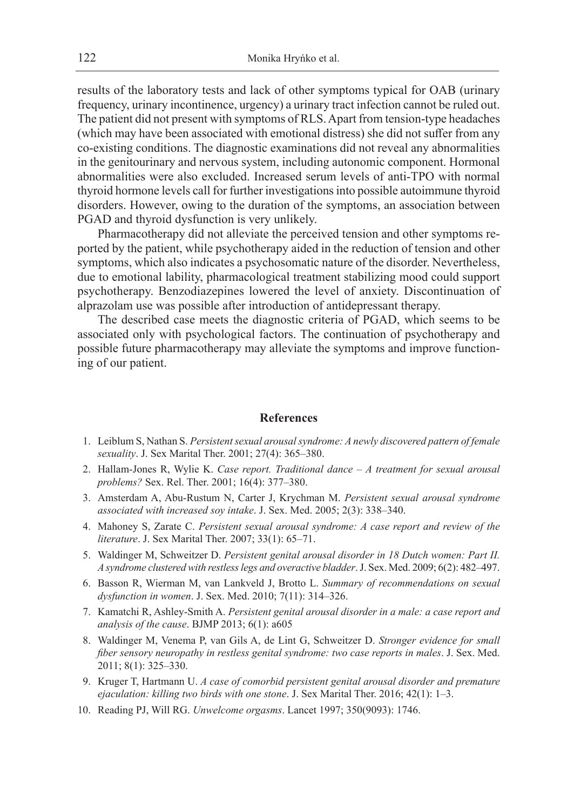results of the laboratory tests and lack of other symptoms typical for OAB (urinary frequency, urinary incontinence, urgency) a urinary tract infection cannot be ruled out. The patient did not present with symptoms of RLS. Apart from tension-type headaches (which may have been associated with emotional distress) she did not suffer from any co-existing conditions. The diagnostic examinations did not reveal any abnormalities in the genitourinary and nervous system, including autonomic component. Hormonal abnormalities were also excluded. Increased serum levels of anti-TPO with normal thyroid hormone levels call for further investigations into possible autoimmune thyroid disorders. However, owing to the duration of the symptoms, an association between PGAD and thyroid dysfunction is very unlikely.

Pharmacotherapy did not alleviate the perceived tension and other symptoms reported by the patient, while psychotherapy aided in the reduction of tension and other symptoms, which also indicates a psychosomatic nature of the disorder. Nevertheless, due to emotional lability, pharmacological treatment stabilizing mood could support psychotherapy. Benzodiazepines lowered the level of anxiety. Discontinuation of alprazolam use was possible after introduction of antidepressant therapy.

The described case meets the diagnostic criteria of PGAD, which seems to be associated only with psychological factors. The continuation of psychotherapy and possible future pharmacotherapy may alleviate the symptoms and improve functioning of our patient.

## **References**

- 1. Leiblum S, Nathan S. *Persistent sexual arousal syndrome: A newly discovered pattern of female sexuality*. J. Sex Marital Ther. 2001; 27(4): 365–380.
- 2. Hallam-Jones R, Wylie K. *Case report. Traditional dance A treatment for sexual arousal problems?* Sex. Rel. Ther. 2001; 16(4): 377–380.
- 3. Amsterdam A, Abu-Rustum N, Carter J, Krychman M. *Persistent sexual arousal syndrome associated with increased soy intake*. J. Sex. Med. 2005; 2(3): 338–340.
- 4. Mahoney S, Zarate C. *Persistent sexual arousal syndrome: A case report and review of the literature*. J. Sex Marital Ther. 2007; 33(1): 65–71.
- 5. Waldinger M, Schweitzer D. *Persistent genital arousal disorder in 18 Dutch women: Part II. Asyndrome clustered with restless legs and overactive bladder*. J. Sex. Med. 2009; 6(2): 482–497.
- 6. Basson R, Wierman M, van Lankveld J, Brotto L. *Summary of recommendations on sexual dysfunction in women*. J. Sex. Med. 2010; 7(11): 314–326.
- 7. Kamatchi R, Ashley-Smith A. *Persistent genital arousal disorder in a male: a case report and analysis of the cause*. BJMP 2013; 6(1): a605
- 8. Waldinger M, Venema P, van Gils A, de Lint G, Schweitzer D. *Stronger evidence for small fiber sensory neuropathy in restless genital syndrome: two case reports in males*. J. Sex. Med. 2011; 8(1): 325–330.
- 9. Kruger T, Hartmann U. *A case of comorbid persistent genital arousal disorder and premature ejaculation: killing two birds with one stone*. J. Sex Marital Ther. 2016; 42(1): 1–3.
- 10. Reading PJ, Will RG. *Unwelcome orgasms*. Lancet 1997; 350(9093): 1746.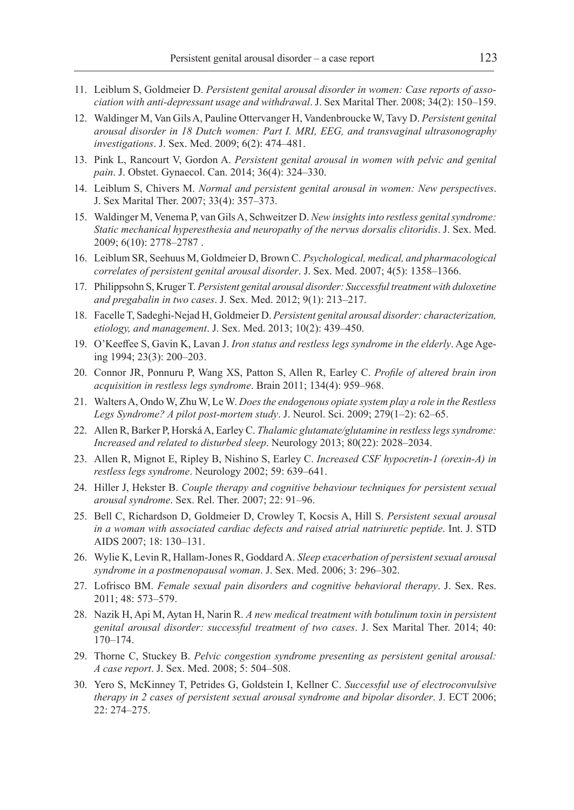- 11. Leiblum S, Goldmeier D. *Persistent genital arousal disorder in women: Case reports of association with anti-depressant usage and withdrawal*. J. Sex Marital Ther. 2008; 34(2): 150–159.
- 12. Waldinger M, Van Gils A, Pauline Ottervanger H, Vandenbroucke W, Tavy D. *Persistent genital arousal disorder in 18 Dutch women: Part I. MRI, EEG, and transvaginal ultrasonography investigations*. J. Sex. Med. 2009; 6(2): 474–481.
- 13. Pink L, Rancourt V, Gordon A. *Persistent genital arousal in women with pelvic and genital pain*. J. Obstet. Gynaecol. Can. 2014; 36(4): 324–330.
- 14. Leiblum S, Chivers M. *Normal and persistent genital arousal in women: New perspectives*. J. Sex Marital Ther. 2007; 33(4): 357–373.
- 15. Waldinger M, Venema P, van Gils A, Schweitzer D. *New insights into restless genital syndrome: Static mechanical hyperesthesia and neuropathy of the nervus dorsalis clitoridis*. J. Sex. Med. 2009; 6(10): 2778–2787 .
- 16. Leiblum SR, Seehuus M, Goldmeier D, Brown C. *Psychological, medical, and pharmacological correlates of persistent genital arousal disorder*. J. Sex. Med. 2007; 4(5): 1358–1366.
- 17. Philippsohn S, Kruger T. *Persistent genital arousal disorder: Successful treatment with duloxetine and pregabalin in two cases*. J. Sex. Med. 2012; 9(1): 213–217.
- 18. Facelle T, Sadeghi‐Nejad H, Goldmeier D. *Persistent genital arousal disorder: characterization, etiology, and management*. J. Sex. Med. 2013; 10(2): 439–450.
- 19. O'Keeffee S, Gavin K, Lavan J. *Iron status and restless legs syndrome in the elderly*. Age Ageing 1994; 23(3): 200–203.
- 20. Connor JR, Ponnuru P, Wang XS, Patton S, Allen R, Earley C. *Profile of altered brain iron acquisition in restless legs syndrome*. Brain 2011; 134(4): 959–968.
- 21. Walters A, Ondo W, Zhu W, Le W. *Does the endogenous opiate system play a role in the Restless Legs Syndrome? A pilot post-mortem study*. J. Neurol. Sci. 2009; 279(1–2): 62–65.
- 22. Allen R, Barker P, Horská A, Earley C. *Thalamic glutamate/glutamine in restless legs syndrome: Increased and related to disturbed sleep*. Neurology 2013; 80(22): 2028–2034.
- 23. Allen R, Mignot E, Ripley B, Nishino S, Earley C. *Increased CSF hypocretin-1 (orexin-A) in restless legs syndrome*. Neurology 2002; 59: 639–641.
- 24. Hiller J, Hekster B. *Couple therapy and cognitive behaviour techniques for persistent sexual arousal syndrome*. Sex. Rel. Ther. 2007; 22: 91–96.
- 25. Bell C, Richardson D, Goldmeier D, Crowley T, Kocsis A, Hill S. *Persistent sexual arousal in a woman with associated cardiac defects and raised atrial natriuretic peptide*. Int. J. STD AIDS 2007; 18: 130–131.
- 26. Wylie K, Levin R, Hallam-Jones R, Goddard A. *Sleep exacerbation of persistent sexual arousal syndrome in a postmenopausal woman*. J. Sex. Med. 2006; 3: 296–302.
- 27. Lofrisco BM. *Female sexual pain disorders and cognitive behavioral therapy*. J. Sex. Res. 2011; 48: 573–579.
- 28. Nazik H, Api M, Aytan H, Narin R. *A new medical treatment with botulinum toxin in persistent genital arousal disorder: successful treatment of two cases*. J. Sex Marital Ther. 2014; 40: 170–174.
- 29. Thorne C, Stuckey B. *Pelvic congestion syndrome presenting as persistent genital arousal: A case report*. J. Sex. Med. 2008; 5: 504–508.
- 30. Yero S, McKinney T, Petrides G, Goldstein I, Kellner C. *Successful use of electroconvulsive therapy in 2 cases of persistent sexual arousal syndrome and bipolar disorder*. J. ECT 2006; 22: 274–275.